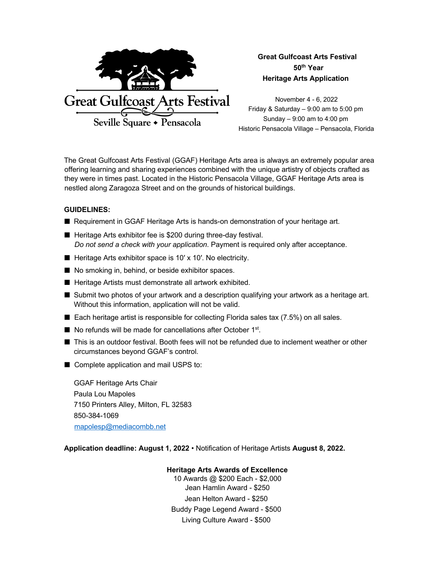

**Great Gulfcoast Arts Festival 50th Year Heritage Arts Application** 

November 4 - 6, 2022 Friday & Saturday – 9:00 am to 5:00 pm Sunday – 9:00 am to 4:00 pm Historic Pensacola Village – Pensacola, Florida

The Great Gulfcoast Arts Festival (GGAF) Heritage Arts area is always an extremely popular area offering learning and sharing experiences combined with the unique artistry of objects crafted as they were in times past. Located in the Historic Pensacola Village, GGAF Heritage Arts area is nestled along Zaragoza Street and on the grounds of historical buildings.

## **GUIDELINES:**

- Requirement in GGAF Heritage Arts is hands-on demonstration of your heritage art.
- Heritage Arts exhibitor fee is \$200 during three-day festival. *Do not send a check with your application*. Payment is required only after acceptance.
- Heritage Arts exhibitor space is 10' x 10'. No electricity.
- No smoking in, behind, or beside exhibitor spaces.
- Heritage Artists must demonstrate all artwork exhibited.
- Submit two photos of your artwork and a description qualifying your artwork as a heritage art. Without this information, application will not be valid.
- Each heritage artist is responsible for collecting Florida sales tax (7.5%) on all sales.
- No refunds will be made for cancellations after October 1<sup>st</sup>.
- This is an outdoor festival. Booth fees will not be refunded due to inclement weather or other circumstances beyond GGAF's control.
- Complete application and mail USPS to:

GGAF Heritage Arts Chair Paula Lou Mapoles 7150 Printers Alley, Milton, FL 32583 850-384-1069 mapolesp@mediacombb.net

**Application deadline: August 1, 2022** • Notification of Heritage Artists **August 8, 2022.**

## **Heritage Arts Awards of Excellence**

10 Awards @ \$200 Each - \$2,000 Jean Hamlin Award - \$250 Jean Helton Award - \$250 Buddy Page Legend Award - \$500 Living Culture Award - \$500